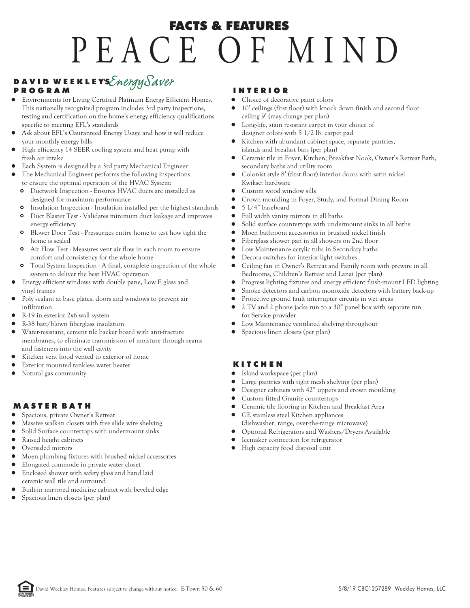# P E A C E O F MIN D FACTS & FEATURES

# D A V I D W E E K L E YS Energy Saver

#### P R O G R A M

- Environments for Living Certified Platinum Energy Efficient Homes. This nationally recognized program includes 3rd party inspections, testing and certification on the home's energy efficiency qualifications specific to meeting EFL's standards
- Ask about EFL's Gauranteed Energy Usage and how it will reduce your monthly energy bills
- High efficiency 14 SEER cooling system and heat pump with fresh air intake
- Each System is designed by a 3rd party Mechanical Engineer
- The Mechanical Engineer performs the following inspections to ensure the optimal operation of the HVAC System:
	- Ductwork Inspection Ensures HVAC ducts are installed as  $\circ$ designed for maximum performance
	- Insulation Inspection Insulation installed per the highest standards  $\Omega$
	- $\mathbf{o}$ Duct Blaster Test - Validates minimum duct leakage and improves energy efficiency
	- Blower Door Test Pressurizes entire home to test how tight the home is sealed
	- Air Flow Test Measures vent air flow in each room to ensure comfort and consistency for the whole home
	- **o** Total System Inspection A final, complete inspection of the whole system to deliver the best HVAC operation
- Energy efficient windows with double pane, Low E glass and vinyl frames
- Poly sealant at base plates, doors and windows to prevent air infiltration
- R-19 in exterior 2x6 wall system
- R-38 batt/blown fiberglass insulation
- Water-resistant, cement tile backer board with anti-fracture membranes, to eliminate transmission of moisture through seams and fasteners into the wall cavity
- Kitchen vent hood vented to exterior of home
- Exterior mounted tankless water heater
- Natural gas community

# M A S T E R B A T H

- $\bullet$ Spacious, private Owner's Retreat
- Massive walk-in closets with free slide wire shelving
- $\bullet$ Solid Surface countertops with undermount sinks
- Raised height cabinets
- Oversided mirrors
- Moen plumbing fixtures with brushed nickel accessories
- Elongated commode in private water closet
- Enclosed shower with safety glass and hand laid
- ceramic wall tile and surround
- Built-in mirrored medicine cabinet with beveled edge
- Spacious linen closets (per plan)

## I N T E R I O R

- Choice of decorative paint colors
- $\bullet$ 10' ceilings (first floor) with knock down finish and second floor ceiling 9' (may change per plan)
- Long-life, stain resistant carpet in your choice of designer colors with 5 1/2 lb. carpet pad
- Kitchen with abundant cabinet space, separate pantries, islands and breafast bars (per plan)
- Ceramic tile in Foyer, Kitchen, Breakfast Nook, Owner's Retreat Bath, secondary baths and utility room
- Colonist style 8' (first floor) interior doors with satin nickel Kwikset hardware
- Custom wood window sills
- Crown moulding in Foyer, Study, and Formal Dining Room
- $\bullet$ 5 1/4" baseboard
- $\bullet$ Full width vanity mirrors in all baths
- Solid surface countertops with undermount sinks in all baths
- $\bullet$ Moen bathroom accessories in brushed nickel finish
- Fiberglass shower pan in all showers on 2nd floor
- $\bullet$ Low Maintenance acrylic tubs in Secondary baths
- Decora switches for interior light switches
- $\bullet$ Ceiling fan in Owner's Retreat and Family room with prewire in all Bedrooms, Children's Retreat and Lanai (per plan)
- $\bullet$ Progress lighting fixtures and energy efficient flush-mount LED lighting
- Smoke detectors and carbon monoxide detectors with battery back-up
- $\bullet$ Protective ground fault interrupter circuits in wet areas
- $\bullet$ 2 TV and 2 phone jacks run to a 30" panel box with separate run for Service provider
- Low Maintenance ventilated shelving throughout
- Spacious linen closets (per plan)

# K I T C H E N

- $\bullet$ Island workspace (per plan)
- Large pantries with tight mesh shelving (per plan)
- Designer cabinets with 42" uppers and crown moulding
- Custom fitted Granite countertops
- Ceramic tile flooring in Kitchen and Breakfast Area
- $\bullet$ GE stainless steel Kitchen appliances (dishwasher, range, over-the-range microwave)
- Optional Refrigerators and Washers/Dryers Available
- Icemaker connection for refrigerator
- High capacity food disposal unit